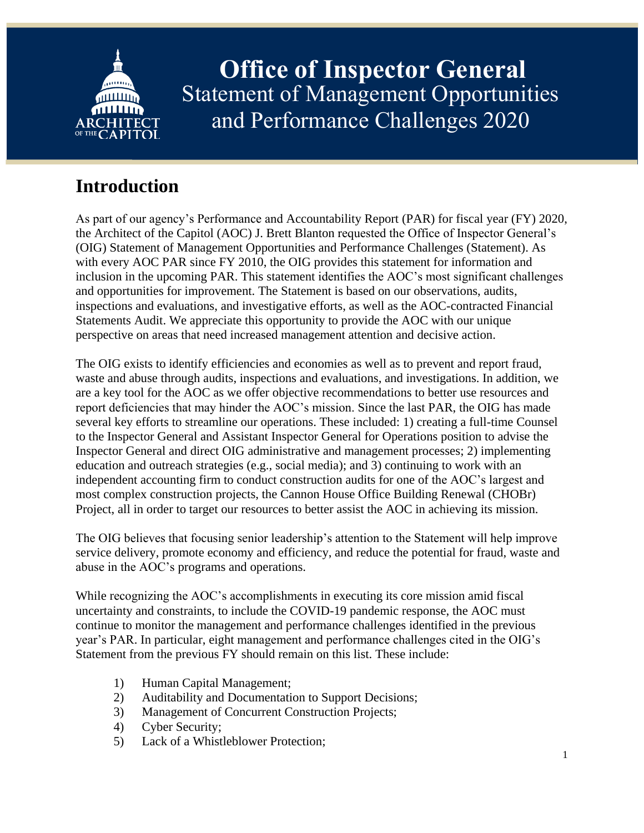

**Office of Inspector General** Statement of Management Opportunities and Performance Challenges 2020

# **Introduction**

As part of our agency's Performance and Accountability Report (PAR) for fiscal year (FY) 2020, the Architect of the Capitol (AOC) J. Brett Blanton requested the Office of Inspector General's (OIG) Statement of Management Opportunities and Performance Challenges (Statement). As with every AOC PAR since FY 2010, the OIG provides this statement for information and inclusion in the upcoming PAR. This statement identifies the AOC's most significant challenges and opportunities for improvement. The Statement is based on our observations, audits, inspections and evaluations, and investigative efforts, as well as the AOC-contracted Financial Statements Audit. We appreciate this opportunity to provide the AOC with our unique perspective on areas that need increased management attention and decisive action.

The OIG exists to identify efficiencies and economies as well as to prevent and report fraud, waste and abuse through audits, inspections and evaluations, and investigations. In addition, we are a key tool for the AOC as we offer objective recommendations to better use resources and report deficiencies that may hinder the AOC's mission. Since the last PAR, the OIG has made several key efforts to streamline our operations. These included: 1) creating a full-time Counsel to the Inspector General and Assistant Inspector General for Operations position to advise the Inspector General and direct OIG administrative and management processes; 2) implementing education and outreach strategies (e.g., social media); and 3) continuing to work with an independent accounting firm to conduct construction audits for one of the AOC's largest and most complex construction projects, the Cannon House Office Building Renewal (CHOBr) Project, all in order to target our resources to better assist the AOC in achieving its mission.

The OIG believes that focusing senior leadership's attention to the Statement will help improve service delivery, promote economy and efficiency, and reduce the potential for fraud, waste and abuse in the AOC's programs and operations.

While recognizing the AOC's accomplishments in executing its core mission amid fiscal uncertainty and constraints, to include the COVID-19 pandemic response, the AOC must continue to monitor the management and performance challenges identified in the previous year's PAR. In particular, eight management and performance challenges cited in the OIG's Statement from the previous FY should remain on this list. These include:

- 1) Human Capital Management;
- 2) Auditability and Documentation to Support Decisions;
- 3) Management of Concurrent Construction Projects;
- 4) Cyber Security;
- 5) Lack of a Whistleblower Protection;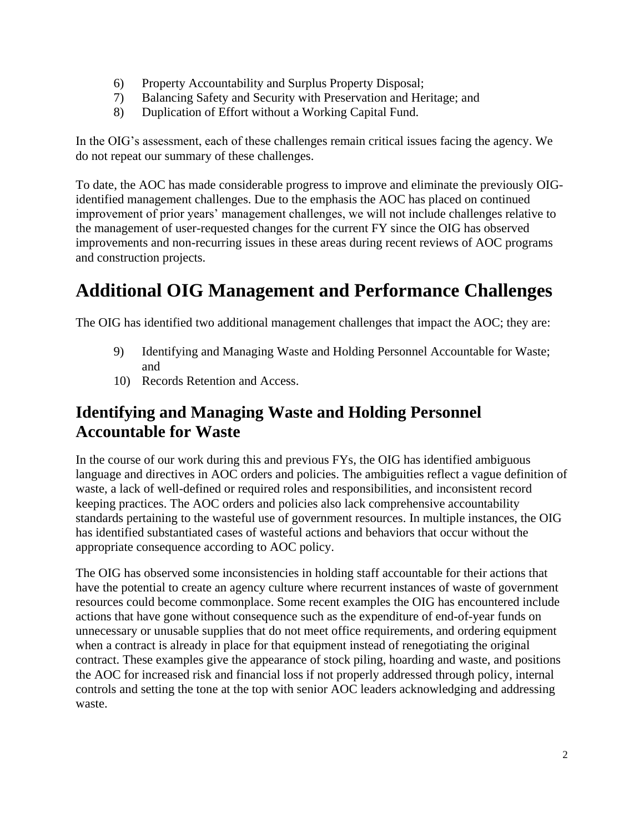- 6) Property Accountability and Surplus Property Disposal;
- 7) Balancing Safety and Security with Preservation and Heritage; and
- 8) Duplication of Effort without a Working Capital Fund.

In the OIG's assessment, each of these challenges remain critical issues facing the agency. We do not repeat our summary of these challenges.

To date, the AOC has made considerable progress to improve and eliminate the previously OIGidentified management challenges. Due to the emphasis the AOC has placed on continued improvement of prior years' management challenges, we will not include challenges relative to the management of user-requested changes for the current FY since the OIG has observed improvements and non-recurring issues in these areas during recent reviews of AOC programs and construction projects.

## **Additional OIG Management and Performance Challenges**

The OIG has identified two additional management challenges that impact the AOC; they are:

- 9) Identifying and Managing Waste and Holding Personnel Accountable for Waste; and
- 10) Records Retention and Access.

#### **Identifying and Managing Waste and Holding Personnel Accountable for Waste**

In the course of our work during this and previous FYs, the OIG has identified ambiguous language and directives in AOC orders and policies. The ambiguities reflect a vague definition of waste, a lack of well-defined or required roles and responsibilities, and inconsistent record keeping practices. The AOC orders and policies also lack comprehensive accountability standards pertaining to the wasteful use of government resources. In multiple instances, the OIG has identified substantiated cases of wasteful actions and behaviors that occur without the appropriate consequence according to AOC policy.

The OIG has observed some inconsistencies in holding staff accountable for their actions that have the potential to create an agency culture where recurrent instances of waste of government resources could become commonplace. Some recent examples the OIG has encountered include actions that have gone without consequence such as the expenditure of end-of-year funds on unnecessary or unusable supplies that do not meet office requirements, and ordering equipment when a contract is already in place for that equipment instead of renegotiating the original contract. These examples give the appearance of stock piling, hoarding and waste, and positions the AOC for increased risk and financial loss if not properly addressed through policy, internal controls and setting the tone at the top with senior AOC leaders acknowledging and addressing waste.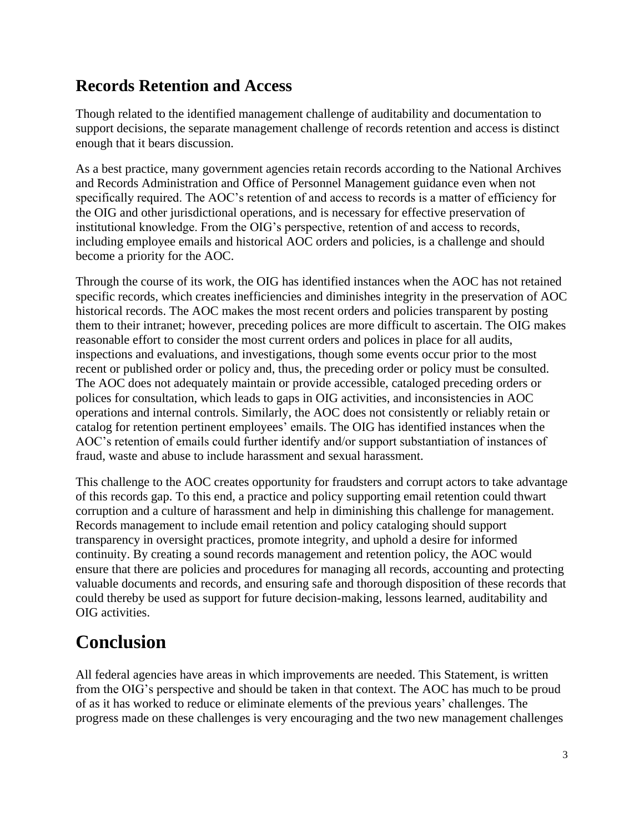#### **Records Retention and Access**

Though related to the identified management challenge of auditability and documentation to support decisions, the separate management challenge of records retention and access is distinct enough that it bears discussion.

As a best practice, many government agencies retain records according to the National Archives and Records Administration and Office of Personnel Management guidance even when not specifically required. The AOC's retention of and access to records is a matter of efficiency for the OIG and other jurisdictional operations, and is necessary for effective preservation of institutional knowledge. From the OIG's perspective, retention of and access to records, including employee emails and historical AOC orders and policies, is a challenge and should become a priority for the AOC.

Through the course of its work, the OIG has identified instances when the AOC has not retained specific records, which creates inefficiencies and diminishes integrity in the preservation of AOC historical records. The AOC makes the most recent orders and policies transparent by posting them to their intranet; however, preceding polices are more difficult to ascertain. The OIG makes reasonable effort to consider the most current orders and polices in place for all audits, inspections and evaluations, and investigations, though some events occur prior to the most recent or published order or policy and, thus, the preceding order or policy must be consulted. The AOC does not adequately maintain or provide accessible, cataloged preceding orders or polices for consultation, which leads to gaps in OIG activities, and inconsistencies in AOC operations and internal controls. Similarly, the AOC does not consistently or reliably retain or catalog for retention pertinent employees' emails. The OIG has identified instances when the AOC's retention of emails could further identify and/or support substantiation of instances of fraud, waste and abuse to include harassment and sexual harassment.

This challenge to the AOC creates opportunity for fraudsters and corrupt actors to take advantage of this records gap. To this end, a practice and policy supporting email retention could thwart corruption and a culture of harassment and help in diminishing this challenge for management. Records management to include email retention and policy cataloging should support transparency in oversight practices, promote integrity, and uphold a desire for informed continuity. By creating a sound records management and retention policy, the AOC would ensure that there are policies and procedures for managing all records, accounting and protecting valuable documents and records, and ensuring safe and thorough disposition of these records that could thereby be used as support for future decision-making, lessons learned, auditability and OIG activities.

### **Conclusion**

All federal agencies have areas in which improvements are needed. This Statement, is written from the OIG's perspective and should be taken in that context. The AOC has much to be proud of as it has worked to reduce or eliminate elements of the previous years' challenges. The progress made on these challenges is very encouraging and the two new management challenges